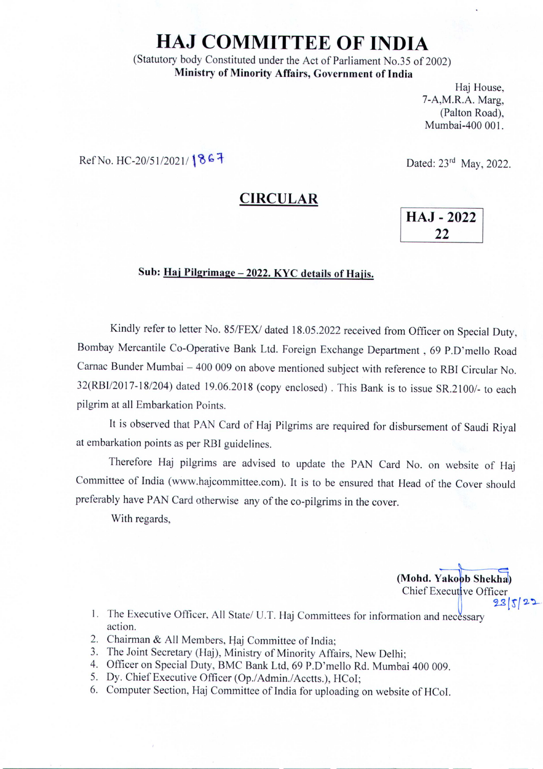## **HAJ COMMITTEE OF INDIA**

(Statutory body Constituted under the Act of Parliament No.35 of 2002) **Ministry of Minority Affairs, Government of India**

> Haj House, 7-A,M.R.A. Marg, (Palton Road), Mumbai-400 001.

Ref No. *HC-20/51/2021*/ **867** Dated: 23<sup>rd</sup> May, 2022.

## **CIRCULAR**

**HAJ - 2022** 22

## **Sub: Haj Pilgrimage - 2022. KYC details of Hajis.**

Kindly refer to letter No. 85/FEX/ dated 18.05.2022 received from Officer on Special Duty, Bombay Mercantile Co-Operative Bank Ltd. Foreign Exchange Department, 69 P.D'mello Road Carnac Bunder Mumbai - 400 009 on above mentioned subject with reference to RBI Circular No. *32(RBII2017-18/204)* dated 19.06.2018 (copy enclosed). This Bank is to issue *SR.21001-* to each pilgrim at all Embarkation Points.

It is observed that PAN Card of Haj Pilgrims are required for disbursement of Saudi Riyal at embarkation points as per RBI guidelines.

Therefore Haj pilgrims are advised to update the PAN Card No. on website of Haj Committee of India (www.hajcommittee.com). It is to be ensured that Head of the Cover should preferably have PAN Card otherwise any of the co-pilgrims **in** the cover.

With regards,

(Mohd. Yakoob Shekha) Chief Executive Officer  $23|5|22$ 

- 1. The Executive Officer, All State/ U.T. Haj Committees for information and necessary action.
- 2. Chairman & All Members, Haj Committee of India;
- 3. The Joint Secretary (Haj), Ministry of Minority Affairs, New Delhi;
- 4. Officer on Special Duty, BMC Bank Ltd, 69 P.D'mello Rd. Mumbai 400 009.
- 5. Dy. Chief Executive Officer (Op./Admin./Acctts.), HCoI;
- 6. Computer Section, Haj Committee of India for uploading on website of HCoI.